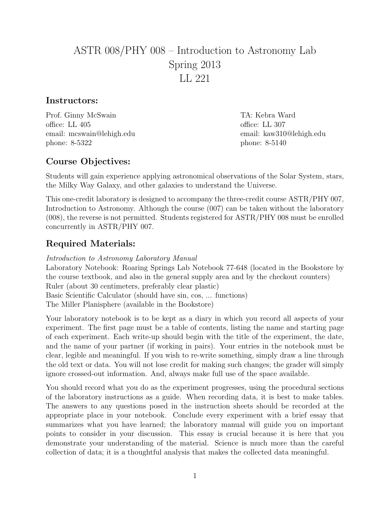# ASTR 008/PHY 008 – Introduction to Astronomy Lab Spring 2013 LL 221

#### Instructors:

Prof. Ginny McSwain TA: Kebra Ward office: LL 405 office: LL 307 email: mcswain@lehigh.edu email: kaw310@lehigh.edu phone: 8-5322 phone: 8-5140

## Course Objectives:

Students will gain experience applying astronomical observations of the Solar System, stars, the Milky Way Galaxy, and other galaxies to understand the Universe.

This one-credit laboratory is designed to accompany the three-credit course ASTR/PHY 007, Introduction to Astronomy. Although the course (007) can be taken without the laboratory (008), the reverse is not permitted. Students registered for ASTR/PHY 008 must be enrolled concurrently in ASTR/PHY 007.

## Required Materials:

Introduction to Astronomy Laboratory Manual Laboratory Notebook: Roaring Springs Lab Notebook 77-648 (located in the Bookstore by the course textbook, and also in the general supply area and by the checkout counters) Ruler (about 30 centimeters, preferably clear plastic) Basic Scientific Calculator (should have sin, cos, ... functions) The Miller Planisphere (available in the Bookstore)

Your laboratory notebook is to be kept as a diary in which you record all aspects of your experiment. The first page must be a table of contents, listing the name and starting page of each experiment. Each write-up should begin with the title of the experiment, the date, and the name of your partner (if working in pairs). Your entries in the notebook must be clear, legible and meaningful. If you wish to re-write something, simply draw a line through the old text or data. You will not lose credit for making such changes; the grader will simply ignore crossed-out information. And, always make full use of the space available.

You should record what you do as the experiment progresses, using the procedural sections of the laboratory instructions as a guide. When recording data, it is best to make tables. The answers to any questions posed in the instruction sheets should be recorded at the appropriate place in your notebook. Conclude every experiment with a brief essay that summarizes what you have learned; the laboratory manual will guide you on important points to consider in your discussion. This essay is crucial because it is here that you demonstrate your understanding of the material. Science is much more than the careful collection of data; it is a thoughtful analysis that makes the collected data meaningful.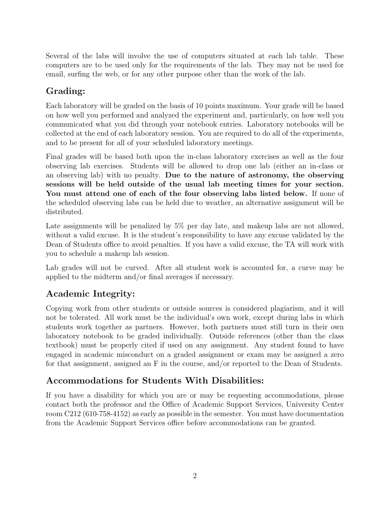Several of the labs will involve the use of computers situated at each lab table. These computers are to be used only for the requirements of the lab. They may not be used for email, surfing the web, or for any other purpose other than the work of the lab.

# Grading:

Each laboratory will be graded on the basis of 10 points maximum. Your grade will be based on how well you performed and analyzed the experiment and, particularly, on how well you communicated what you did through your notebook entries. Laboratory notebooks will be collected at the end of each laboratory session. You are required to do all of the experiments, and to be present for all of your scheduled laboratory meetings.

Final grades will be based both upon the in-class laboratory exercises as well as the four observing lab exercises. Students will be allowed to drop one lab (either an in-class or an observing lab) with no penalty. Due to the nature of astronomy, the observing sessions will be held outside of the usual lab meeting times for your section. You must attend one of each of the four observing labs listed below. If none of the scheduled observing labs can be held due to weather, an alternative assignment will be distributed.

Late assignments will be penalized by 5% per day late, and makeup labs are not allowed, without a valid excuse. It is the student's responsibility to have any excuse validated by the Dean of Students office to avoid penalties. If you have a valid excuse, the TA will work with you to schedule a makeup lab session.

Lab grades will not be curved. After all student work is accounted for, a curve may be applied to the midterm and/or final averages if necessary.

# Academic Integrity:

Copying work from other students or outside sources is considered plagiarism, and it will not be tolerated. All work must be the individual's own work, except during labs in which students work together as partners. However, both partners must still turn in their own laboratory notebook to be graded individually. Outside references (other than the class textbook) must be properly cited if used on any assignment. Any student found to have engaged in academic misconduct on a graded assignment or exam may be assigned a zero for that assignment, assigned an F in the course, and/or reported to the Dean of Students.

## Accommodations for Students With Disabilities:

If you have a disability for which you are or may be requesting accommodations, please contact both the professor and the Office of Academic Support Services, University Center room C212 (610-758-4152) as early as possible in the semester. You must have documentation from the Academic Support Services office before accommodations can be granted.